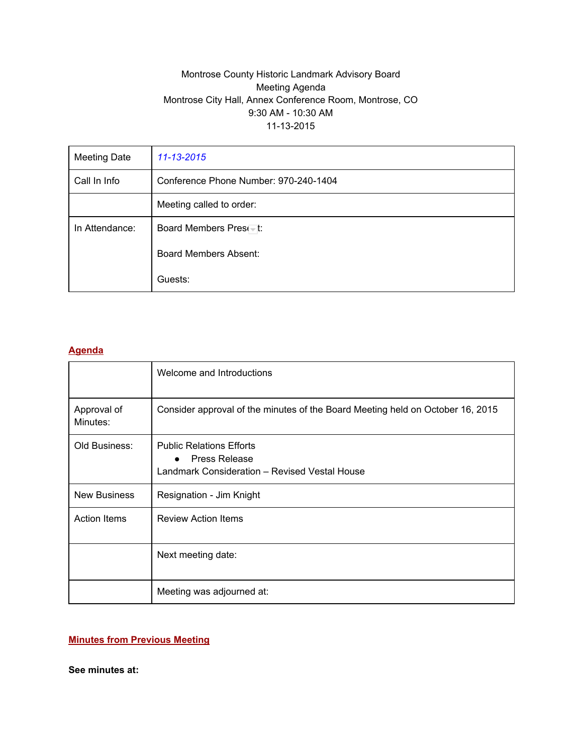### Montrose County Historic Landmark Advisory Board Meeting Agenda Montrose City Hall, Annex Conference Room, Montrose, CO 9:30 AM - 10:30 AM 11132015

| <b>Meeting Date</b> | 11-13-2015                            |
|---------------------|---------------------------------------|
| Call In Info        | Conference Phone Number: 970-240-1404 |
|                     | Meeting called to order:              |
| In Attendance:      | Board Members Preset:                 |
|                     | <b>Board Members Absent:</b>          |
|                     | Guests:                               |

#### **Agenda**

|                         | Welcome and Introductions                                                                                             |  |  |  |
|-------------------------|-----------------------------------------------------------------------------------------------------------------------|--|--|--|
| Approval of<br>Minutes: | Consider approval of the minutes of the Board Meeting held on October 16, 2015                                        |  |  |  |
| Old Business:           | <b>Public Relations Efforts</b><br><b>Press Release</b><br>$\bullet$<br>Landmark Consideration - Revised Vestal House |  |  |  |
| <b>New Business</b>     | Resignation - Jim Knight                                                                                              |  |  |  |
| <b>Action Items</b>     | <b>Review Action Items</b>                                                                                            |  |  |  |
|                         | Next meeting date:                                                                                                    |  |  |  |
|                         | Meeting was adjourned at:                                                                                             |  |  |  |

### **Minutes from Previous Meeting**

**See minutes at:**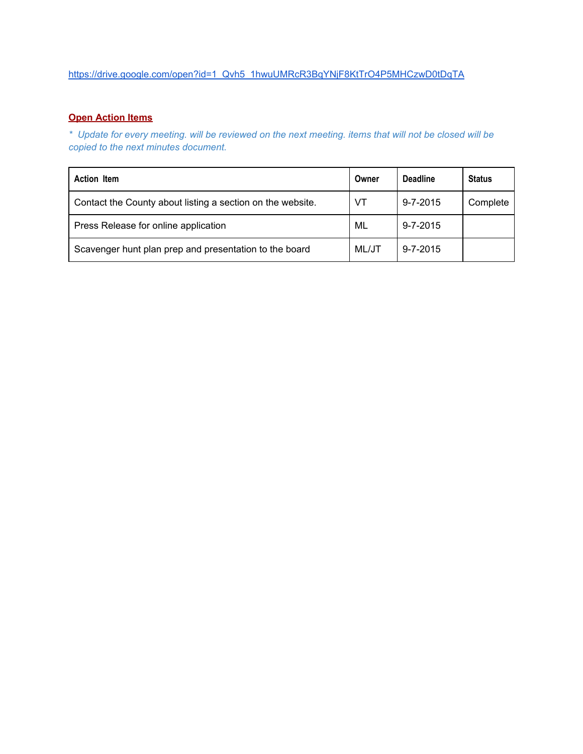# [https://drive.google.com/open?id=1\\_Qvh5\\_1hwuUMRcR3BqYNjF8KtTrO4P5MHCzwD0tDqTA](https://drive.google.com/open?id=1_Qvh5_1hwuUMRcR3BqYNjF8KtTrO4P5MHCzwD0tDqTA)

# **Open Action Items**

\* Update for every meeting. will be reviewed on the next meeting. items that will not be closed will be *copied to the next minutes document.*

| <b>Action Item</b>                                         |  | <b>Deadline</b> | <b>Status</b> |
|------------------------------------------------------------|--|-----------------|---------------|
| Contact the County about listing a section on the website. |  | $9 - 7 - 2015$  | Complete      |
| Press Release for online application                       |  | $9 - 7 - 2015$  |               |
| Scavenger hunt plan prep and presentation to the board     |  | $9 - 7 - 2015$  |               |